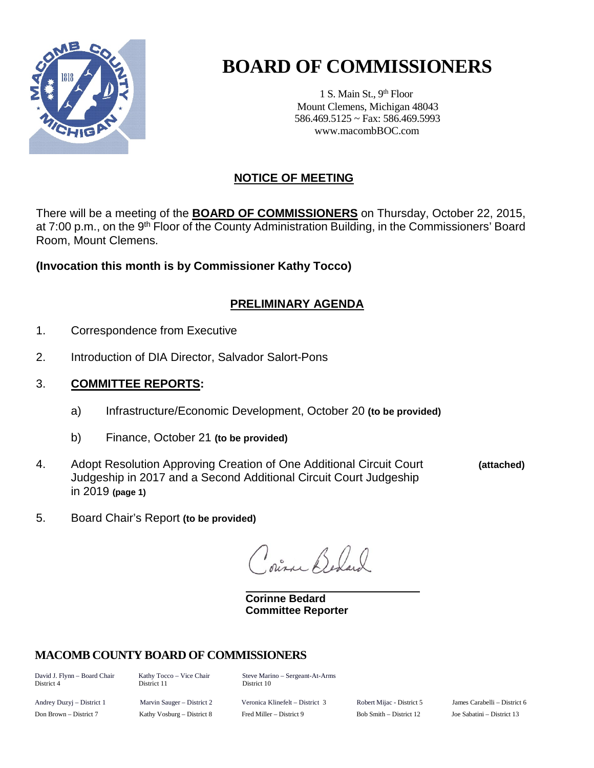

# **BOARD OF COMMISSIONERS**

1 S. Main St., 9<sup>th</sup> Floor Mount Clemens, Michigan 48043 586.469.5125 ~ Fax: 586.469.5993 www.macombBOC.com

## **NOTICE OF MEETING**

There will be a meeting of the **BOARD OF COMMISSIONERS** on Thursday, October 22, 2015, at 7:00 p.m., on the 9<sup>th</sup> Floor of the County Administration Building, in the Commissioners' Board Room, Mount Clemens.

**(Invocation this month is by Commissioner Kathy Tocco)**

## **PRELIMINARY AGENDA**

- 1. Correspondence from Executive
- 2. Introduction of DIA Director, Salvador Salort-Pons

## 3. **COMMITTEE REPORTS:**

- a) Infrastructure/Economic Development, October 20 **(to be provided)**
- b) Finance, October 21 **(to be provided)**
- 4. Adopt Resolution Approving Creation of One Additional Circuit Court **(attached)** Judgeship in 2017 and a Second Additional Circuit Court Judgeship in 2019 **(page 1)**
- 5. Board Chair's Report **(to be provided)**

in Bel

**Corinne Bedard Committee Reporter**

## **MACOMB COUNTY BOARD OF COMMISSIONERS**

District 4

David J. Flynn – Board Chair Kathy Tocco – Vice Chair Steve Marino – Sergeant-At-Arms<br>District 4 District 11 District 10

Andrey Duzyj – District 1 Marvin Sauger – District 2 Veronica Klinefelt – District 3 Robert Mijac - District 5 James Carabelli – District 6 Don Brown – District 7 Kathy Vosburg – District 8 Fred Miller – District 9 Bob Smith – District 12 Joe Sabatini – District 13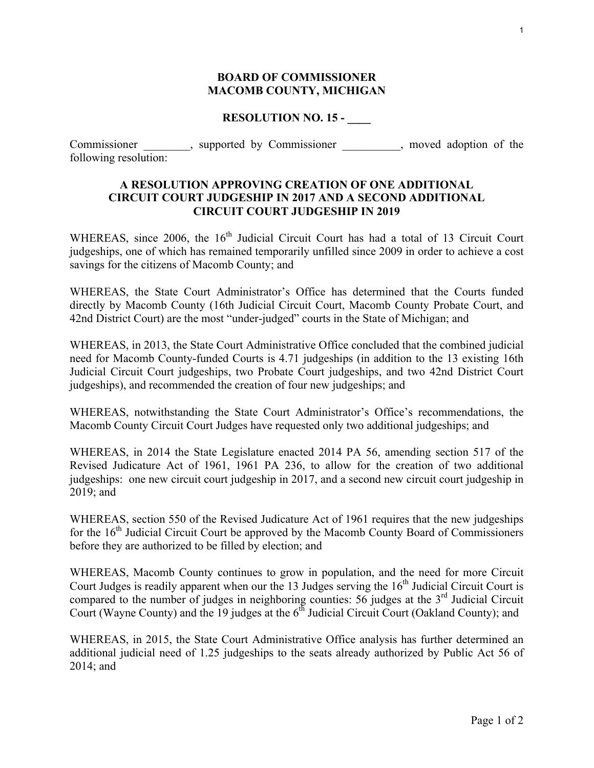#### **BOARD OF COMMISSIONER MACOMB COUNTY, MICHIGAN**

#### **RESOLUTION NO. 15 - \_\_\_\_**

Commissioner \_\_\_\_\_\_\_, supported by Commissioner \_\_\_\_\_\_\_, moved adoption of the following resolution:

### **A RESOLUTION APPROVING CREATION OF ONE ADDITIONAL CIRCUIT COURT JUDGESHIP IN 2017 AND A SECOND ADDITIONAL CIRCUIT COURT JUDGESHIP IN 2019**

WHEREAS, since 2006, the 16<sup>th</sup> Judicial Circuit Court has had a total of 13 Circuit Court judgeships, one of which has remained temporarily unfilled since 2009 in order to achieve a cost savings for the citizens of Macomb County; and

WHEREAS, the State Court Administrator's Office has determined that the Courts funded directly by Macomb County (16th Judicial Circuit Court, Macomb County Probate Court, and 42nd District Court) are the most "under-judged" courts in the State of Michigan; and

WHEREAS, in 2013, the State Court Administrative Office concluded that the combined judicial need for Macomb County-funded Courts is 4.71 judgeships (in addition to the 13 existing 16th Judicial Circuit Court judgeships, two Probate Court judgeships, and two 42nd District Court judgeships), and recommended the creation of four new judgeships; and

WHEREAS, notwithstanding the State Court Administrator's Office's recommendations, the Macomb County Circuit Court Judges have requested only two additional judgeships; and

WHEREAS, in 2014 the State Legislature enacted 2014 PA 56, amending section 517 of the Revised Judicature Act of 1961, 1961 PA 236, to allow for the creation of two additional judgeships: one new circuit court judgeship in 2017, and a second new circuit court judgeship in 2019; and

WHEREAS, section 550 of the Revised Judicature Act of 1961 requires that the new judgeships for the  $16<sup>th</sup>$  Judicial Circuit Court be approved by the Macomb County Board of Commissioners before they are authorized to be filled by election; and

WHEREAS, Macomb County continues to grow in population, and the need for more Circuit Court Judges is readily apparent when our the 13 Judges serving the 16<sup>th</sup> Judicial Circuit Court is compared to the number of judges in neighboring counties:  $56$  judges at the  $3<sup>rd</sup>$  Judicial Circuit Court (Wayne County) and the 19 judges at the  $6<sup>th</sup>$  Judicial Circuit Court (Oakland County); and

WHEREAS, in 2015, the State Court Administrative Office analysis has further determined an additional judicial need of 1.25 judgeships to the seats already authorized by Public Act 56 of 2014; and